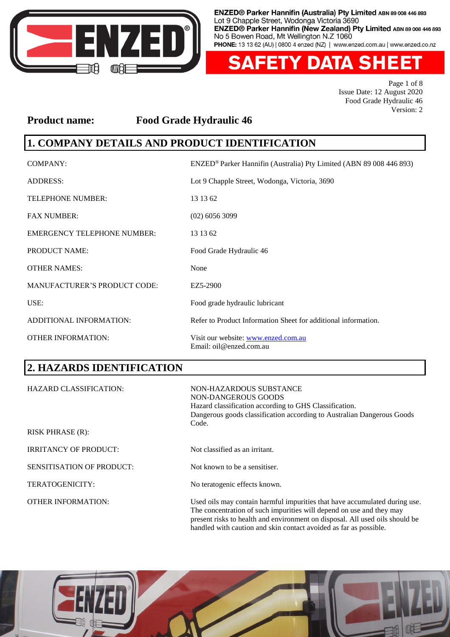

**FETY DATA SHE** Δ EI

> Page 1 of 8 Issue Date: 12 August 2020 Food Grade Hydraulic 46 Version: 2

#### **Product name: Food Grade Hydraulic 46**

# **1. COMPANY DETAILS AND PRODUCT IDENTIFICATION**

| COMPANY:                            | ENZED® Parker Hannifin (Australia) Pty Limited (ABN 89 008 446 893) |
|-------------------------------------|---------------------------------------------------------------------|
| <b>ADDRESS:</b>                     | Lot 9 Chapple Street, Wodonga, Victoria, 3690                       |
| <b>TELEPHONE NUMBER:</b>            | 13 13 62                                                            |
| <b>FAX NUMBER:</b>                  | $(02)$ 6056 3099                                                    |
| <b>EMERGENCY TELEPHONE NUMBER:</b>  | 13 13 62                                                            |
| <b>PRODUCT NAME:</b>                | Food Grade Hydraulic 46                                             |
| <b>OTHER NAMES:</b>                 | None                                                                |
| <b>MANUFACTURER'S PRODUCT CODE:</b> | EZ5-2900                                                            |
| USE:                                | Food grade hydraulic lubricant                                      |
| ADDITIONAL INFORMATION:             | Refer to Product Information Sheet for additional information.      |
| <b>OTHER INFORMATION:</b>           | Visit our website: www.enzed.com.au<br>Email: oil@enzed.com.au      |

# **2. HAZARDS IDENTIFICATION**

| <b>HAZARD CLASSIFICATION:</b> | NON-HAZARDOUS SUBSTANCE<br>NON-DANGEROUS GOODS<br>Hazard classification according to GHS Classification.<br>Dangerous goods classification according to Australian Dangerous Goods<br>Code.                                                                                                             |
|-------------------------------|---------------------------------------------------------------------------------------------------------------------------------------------------------------------------------------------------------------------------------------------------------------------------------------------------------|
| <b>RISK PHRASE (R):</b>       |                                                                                                                                                                                                                                                                                                         |
| <b>IRRITANCY OF PRODUCT:</b>  | Not classified as an irritant.                                                                                                                                                                                                                                                                          |
| SENSITISATION OF PRODUCT:     | Not known to be a sensitiser.                                                                                                                                                                                                                                                                           |
| <b>TERATOGENICITY:</b>        | No teratogenic effects known.                                                                                                                                                                                                                                                                           |
| <b>OTHER INFORMATION:</b>     | Used oils may contain harmful impurities that have accumulated during use.<br>The concentration of such impurities will depend on use and they may<br>present risks to health and environment on disposal. All used oils should be<br>handled with caution and skin contact avoided as far as possible. |

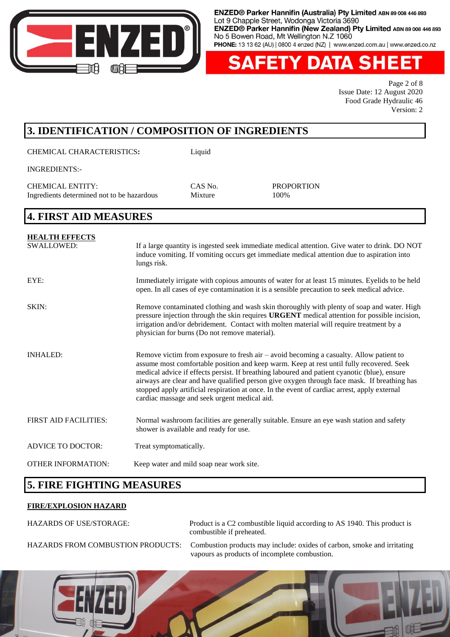

**ETY DATA SH** 

Page 2 of 8 Issue Date: 12 August 2020 Food Grade Hydraulic 46 Version: 2

# **3. IDENTIFICATION / COMPOSITION OF INGREDIENTS**

CHEMICAL CHARACTERISTICS**:** Liquid

INGREDIENTS:-

CHEMICAL ENTITY: CAS No. PROPORTION Ingredients determined not to be hazardous Mixture 100%

#### **4. FIRST AID MEASURES**

| <b>HEALTH EFFECTS</b>        |                                                                                                                                                                                                                                                                                                                                                                                                                                                                                                                                     |
|------------------------------|-------------------------------------------------------------------------------------------------------------------------------------------------------------------------------------------------------------------------------------------------------------------------------------------------------------------------------------------------------------------------------------------------------------------------------------------------------------------------------------------------------------------------------------|
| <b>SWALLOWED:</b>            | If a large quantity is ingested seek immediate medical attention. Give water to drink. DO NOT<br>induce vomiting. If vomiting occurs get immediate medical attention due to aspiration into<br>lungs risk.                                                                                                                                                                                                                                                                                                                          |
| EYE:                         | Immediately irrigate with copious amounts of water for at least 15 minutes. Eyelids to be held<br>open. In all cases of eye contamination it is a sensible precaution to seek medical advice.                                                                                                                                                                                                                                                                                                                                       |
| SKIN:                        | Remove contaminated clothing and wash skin thoroughly with plenty of soap and water. High<br>pressure injection through the skin requires <b>URGENT</b> medical attention for possible incision,<br>irrigation and/or debridement. Contact with molten material will require treatment by a<br>physician for burns (Do not remove material).                                                                                                                                                                                        |
| <b>INHALED:</b>              | Remove victim from exposure to fresh air $-$ avoid becoming a casualty. Allow patient to<br>assume most comfortable position and keep warm. Keep at rest until fully recovered. Seek<br>medical advice if effects persist. If breathing laboured and patient cyanotic (blue), ensure<br>airways are clear and have qualified person give oxygen through face mask. If breathing has<br>stopped apply artificial respiration at once. In the event of cardiac arrest, apply external<br>cardiac massage and seek urgent medical aid. |
| <b>FIRST AID FACILITIES:</b> | Normal washroom facilities are generally suitable. Ensure an eye wash station and safety<br>shower is available and ready for use.                                                                                                                                                                                                                                                                                                                                                                                                  |
| <b>ADVICE TO DOCTOR:</b>     | Treat symptomatically.                                                                                                                                                                                                                                                                                                                                                                                                                                                                                                              |
| <b>OTHER INFORMATION:</b>    | Keep water and mild soap near work site.                                                                                                                                                                                                                                                                                                                                                                                                                                                                                            |

# **5. FIRE FIGHTING MEASURES**

#### **FIRE/EXPLOSION HAZARD**

HAZARDS OF USE/STORAGE: Product is a C2 combustible liquid according to AS 1940. This product is combustible if preheated.

HAZARDS FROM COMBUSTION PRODUCTS: Combustion products may include: oxides of carbon, smoke and irritating vapours as products of incomplete combustion.

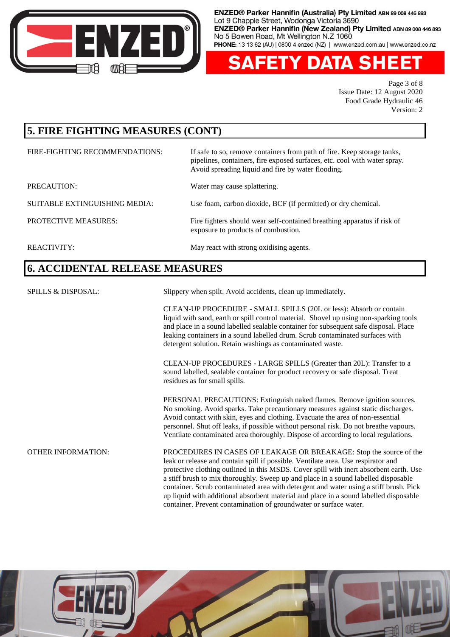

**FETY DATA SHE** Δ ΞI

> Page 3 of 8 Issue Date: 12 August 2020 Food Grade Hydraulic 46 Version: 2

# **5. FIRE FIGHTING MEASURES (CONT)**

| FIRE-FIGHTING RECOMMENDATIONS: | If safe to so, remove containers from path of fire. Keep storage tanks,<br>pipelines, containers, fire exposed surfaces, etc. cool with water spray.<br>Avoid spreading liquid and fire by water flooding. |
|--------------------------------|------------------------------------------------------------------------------------------------------------------------------------------------------------------------------------------------------------|
| PRECAUTION:                    | Water may cause splattering.                                                                                                                                                                               |
| SUITABLE EXTINGUISHING MEDIA:  | Use foam, carbon dioxide, BCF (if permitted) or dry chemical.                                                                                                                                              |
| <b>PROTECTIVE MEASURES:</b>    | Fire fighters should wear self-contained breathing apparatus if risk of<br>exposure to products of combustion.                                                                                             |
| REACTIVITY:                    | May react with strong oxidising agents.                                                                                                                                                                    |

# **6. ACCIDENTAL RELEASE MEASURES**

| <b>SPILLS &amp; DISPOSAL:</b> | Slippery when spilt. Avoid accidents, clean up immediately.                                                                                                                                                                                                                                                                                                                                                                                                                                                                                                                                    |
|-------------------------------|------------------------------------------------------------------------------------------------------------------------------------------------------------------------------------------------------------------------------------------------------------------------------------------------------------------------------------------------------------------------------------------------------------------------------------------------------------------------------------------------------------------------------------------------------------------------------------------------|
|                               | CLEAN-UP PROCEDURE - SMALL SPILLS (20L or less): Absorb or contain<br>liquid with sand, earth or spill control material. Shovel up using non-sparking tools<br>and place in a sound labelled sealable container for subsequent safe disposal. Place<br>leaking containers in a sound labelled drum. Scrub contaminated surfaces with<br>detergent solution. Retain washings as contaminated waste.                                                                                                                                                                                             |
|                               | CLEAN-UP PROCEDURES - LARGE SPILLS (Greater than 20L): Transfer to a<br>sound labelled, sealable container for product recovery or safe disposal. Treat<br>residues as for small spills.                                                                                                                                                                                                                                                                                                                                                                                                       |
|                               | PERSONAL PRECAUTIONS: Extinguish naked flames. Remove ignition sources.<br>No smoking. Avoid sparks. Take precautionary measures against static discharges.<br>Avoid contact with skin, eyes and clothing. Evacuate the area of non-essential<br>personnel. Shut off leaks, if possible without personal risk. Do not breathe vapours.<br>Ventilate contaminated area thoroughly. Dispose of according to local regulations.                                                                                                                                                                   |
| <b>OTHER INFORMATION:</b>     | PROCEDURES IN CASES OF LEAKAGE OR BREAKAGE: Stop the source of the<br>leak or release and contain spill if possible. Ventilate area. Use respirator and<br>protective clothing outlined in this MSDS. Cover spill with inert absorbent earth. Use<br>a stiff brush to mix thoroughly. Sweep up and place in a sound labelled disposable<br>container. Scrub contaminated area with detergent and water using a stiff brush. Pick<br>up liquid with additional absorbent material and place in a sound labelled disposable<br>container. Prevent contamination of groundwater or surface water. |

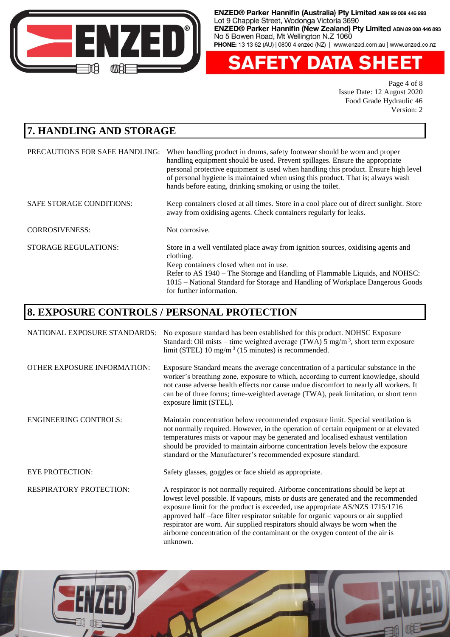

**FETY DATA SHEET** Δ

> Page 4 of 8 Issue Date: 12 August 2020 Food Grade Hydraulic 46 Version: 2

# **7. HANDLING AND STORAGE**

| PRECAUTIONS FOR SAFE HANDLING:  | When handling product in drums, safety footwear should be worn and proper<br>handling equipment should be used. Prevent spillages. Ensure the appropriate<br>personal protective equipment is used when handling this product. Ensure high level<br>of personal hygiene is maintained when using this product. That is, always wash<br>hands before eating, drinking smoking or using the toilet. |
|---------------------------------|---------------------------------------------------------------------------------------------------------------------------------------------------------------------------------------------------------------------------------------------------------------------------------------------------------------------------------------------------------------------------------------------------|
| <b>SAFE STORAGE CONDITIONS:</b> | Keep containers closed at all times. Store in a cool place out of direct sunlight. Store<br>away from oxidising agents. Check containers regularly for leaks.                                                                                                                                                                                                                                     |
| <b>CORROSIVENESS:</b>           | Not corrosive.                                                                                                                                                                                                                                                                                                                                                                                    |
| <b>STORAGE REGULATIONS:</b>     | Store in a well ventilated place away from ignition sources, oxidising agents and<br>clothing.<br>Keep containers closed when not in use.<br>Refer to AS 1940 – The Storage and Handling of Flammable Liquids, and NOHSC:<br>1015 – National Standard for Storage and Handling of Workplace Dangerous Goods<br>for further information.                                                           |

# **8. EXPOSURE CONTROLS / PERSONAL PROTECTION**

| NATIONAL EXPOSURE STANDARDS:   | No exposure standard has been established for this product. NOHSC Exposure<br>Standard: Oil mists – time weighted average (TWA) 5 mg/m <sup>3</sup> , short term exposure<br>limit (STEL) 10 mg/m <sup>3</sup> (15 minutes) is recommended.                                                                                                                                                                                   |
|--------------------------------|-------------------------------------------------------------------------------------------------------------------------------------------------------------------------------------------------------------------------------------------------------------------------------------------------------------------------------------------------------------------------------------------------------------------------------|
| OTHER EXPOSURE INFORMATION:    | Exposure Standard means the average concentration of a particular substance in the<br>worker's breathing zone, exposure to which, according to current knowledge, should<br>not cause adverse health effects nor cause undue discomfort to nearly all workers. It<br>can be of three forms; time-weighted average (TWA), peak limitation, or short term<br>exposure limit (STEL).                                             |
| <b>ENGINEERING CONTROLS:</b>   | Maintain concentration below recommended exposure limit. Special ventilation is<br>not normally required. However, in the operation of certain equipment or at elevated<br>temperatures mists or vapour may be generated and localised exhaust ventilation<br>should be provided to maintain airborne concentration levels below the exposure<br>standard or the Manufacturer's recommended exposure standard.                |
| <b>EYE PROTECTION:</b>         | Safety glasses, goggles or face shield as appropriate.                                                                                                                                                                                                                                                                                                                                                                        |
| <b>RESPIRATORY PROTECTION:</b> | A respirator is not normally required. Airborne concentrations should be kept at<br>lowest level possible. If vapours, mists or dusts are generated and the recommended<br>exposure limit for the product is exceeded, use appropriate AS/NZS 1715/1716<br>approved half -face filter respirator suitable for organic vapours or air supplied<br>respirator are worn. Air supplied respirators should always be worn when the |



unknown.

airborne concentration of the contaminant or the oxygen content of the air is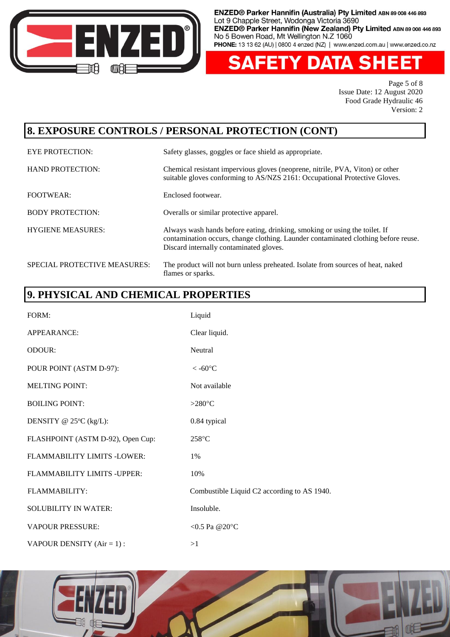

'Y DATA SH z۱

> Page 5 of 8 Issue Date: 12 August 2020 Food Grade Hydraulic 46 Version: 2

#### **8. EXPOSURE CONTROLS / PERSONAL PROTECTION (CONT)**

EYE PROTECTION: Safety glasses, goggles or face shield as appropriate. HAND PROTECTION: Chemical resistant impervious gloves (neoprene, nitrile, PVA, Viton) or other suitable gloves conforming to AS/NZS 2161: Occupational Protective Gloves. FOOTWEAR: Enclosed footwear. BODY PROTECTION: Overalls or similar protective apparel. HYGIENE MEASURES: Always wash hands before eating, drinking, smoking or using the toilet. If contamination occurs, change clothing. Launder contaminated clothing before reuse. Discard internally contaminated gloves. SPECIAL PROTECTIVE MEASURES: The product will not burn unless preheated. Isolate from sources of heat, naked flames or sparks.

# **9. PHYSICAL AND CHEMICAL PROPERTIES**

| FORM:                               | Liquid                                      |
|-------------------------------------|---------------------------------------------|
| APPEARANCE:                         | Clear liquid.                               |
| ODOUR:                              | Neutral                                     |
| POUR POINT (ASTM D-97):             | $< -60$ °C                                  |
| <b>MELTING POINT:</b>               | Not available                               |
| <b>BOILING POINT:</b>               | >280 $\rm ^{\circ}C$                        |
| DENSITY @ $25^{\circ}C$ (kg/L):     | 0.84 typical                                |
| FLASHPOINT (ASTM D-92), Open Cup:   | 258°C                                       |
| FLAMMABILITY LIMITS -LOWER:         | $1\%$                                       |
| <b>FLAMMABILITY LIMITS - UPPER:</b> | 10%                                         |
| <b>FLAMMABILITY:</b>                | Combustible Liquid C2 according to AS 1940. |
| <b>SOLUBILITY IN WATER:</b>         | Insoluble.                                  |
| <b>VAPOUR PRESSURE:</b>             | <0.5 Pa @20 $^{\circ}$ C                    |
| VAPOUR DENSITY $(Air = 1)$ :        | >1                                          |

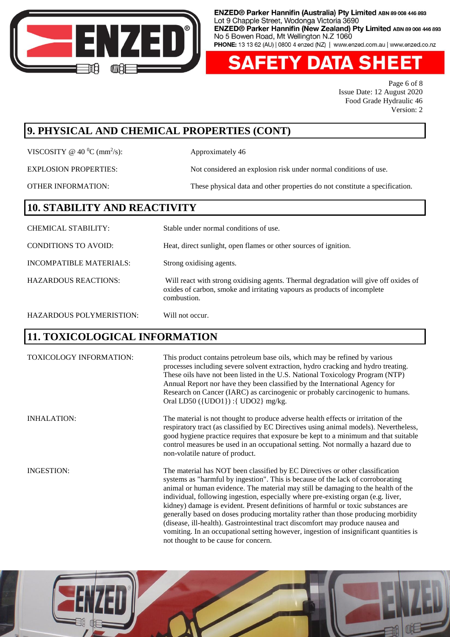

**FETY DATA SHEET** 

Page 6 of 8 Issue Date: 12 August 2020 Food Grade Hydraulic 46 Version: 2

#### **9. PHYSICAL AND CHEMICAL PROPERTIES (CONT)**

VISCOSITY @ 40  $^0$ C (mm<sup>2</sup>/s):

Approximately 46

EXPLOSION PROPERTIES: Not considered an explosion risk under normal conditions of use.

OTHER INFORMATION: These physical data and other properties do not constitute a specification.

#### **10. STABILITY AND REACTIVITY**

CHEMICAL STABILITY: Stable under normal conditions of use. CONDITIONS TO AVOID: Heat, direct sunlight, open flames or other sources of ignition. INCOMPATIBLE MATERIALS: Strong oxidising agents. HAZARDOUS REACTIONS: Will react with strong oxidising agents. Thermal degradation will give off oxides of oxides of carbon, smoke and irritating vapours as products of incomplete combustion. HAZARDOUS POLYMERISTION: Will not occur.

# **11. TOXICOLOGICAL INFORMATION**

TOXICOLOGY INFORMATION: This product contains petroleum base oils, which may be refined by various processes including severe solvent extraction, hydro cracking and hydro treating. These oils have not been listed in the U.S. National Toxicology Program (NTP) Annual Report nor have they been classified by the International Agency for Research on Cancer (IARC) as carcinogenic or probably carcinogenic to humans. Oral LD50 ({UDO1}) :{ UDO2} mg/kg. INHALATION: The material is not thought to produce adverse health effects or irritation of the

respiratory tract (as classified by EC Directives using animal models). Nevertheless, good hygiene practice requires that exposure be kept to a minimum and that suitable control measures be used in an occupational setting. Not normally a hazard due to non-volatile nature of product.

INGESTION: The material has NOT been classified by EC Directives or other classification systems as "harmful by ingestion". This is because of the lack of corroborating animal or human evidence. The material may still be damaging to the health of the individual, following ingestion, especially where pre-existing organ (e.g. liver, kidney) damage is evident. Present definitions of harmful or toxic substances are generally based on doses producing mortality rather than those producing morbidity (disease, ill-health). Gastrointestinal tract discomfort may produce nausea and vomiting. In an occupational setting however, ingestion of insignificant quantities is not thought to be cause for concern.

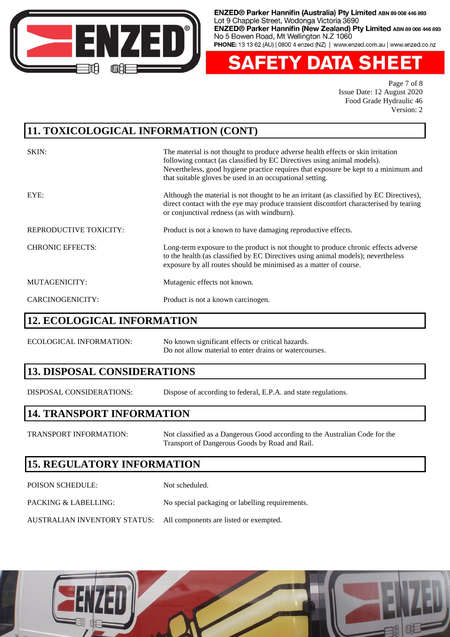

**ETY DATA SHE** 

Page 7 of 8 Issue Date: 12 August 2020 Food Grade Hydraulic 46 Version: 2

#### **11. TOXICOLOGICAL INFORMATION (CONT)**

| SKIN:                   | The material is not thought to produce adverse health effects or skin irritation<br>following contact (as classified by EC Directives using animal models).<br>Nevertheless, good hygiene practice requires that exposure be kept to a minimum and<br>that suitable gloves be used in an occupational setting. |
|-------------------------|----------------------------------------------------------------------------------------------------------------------------------------------------------------------------------------------------------------------------------------------------------------------------------------------------------------|
| EYE:                    | Although the material is not thought to be an irritant (as classified by EC Directives),<br>direct contact with the eye may produce transient discomfort characterised by tearing<br>or conjunctival redness (as with windburn).                                                                               |
| REPRODUCTIVE TOXICITY:  | Product is not a known to have damaging reproductive effects.                                                                                                                                                                                                                                                  |
| <b>CHRONIC EFFECTS:</b> | Long-term exposure to the product is not thought to produce chronic effects adverse<br>to the health (as classified by EC Directives using animal models); nevertheless<br>exposure by all routes should be minimised as a matter of course.                                                                   |
| MUTAGENICITY:           | Mutagenic effects not known.                                                                                                                                                                                                                                                                                   |
| CARCINOGENICITY:        | Product is not a known carcinogen.                                                                                                                                                                                                                                                                             |

#### **12. ECOLOGICAL INFORMATION**

ECOLOGICAL INFORMATION: No known significant effects or critical hazards. Do not allow material to enter drains or watercourses.

#### **13. DISPOSAL CONSIDERATIONS**

DISPOSAL CONSIDERATIONS: Dispose of according to federal, E.P.A. and state regulations.

#### **14. TRANSPORT INFORMATION**

TRANSPORT INFORMATION: Not classified as a Dangerous Good according to the Australian Code for the Transport of Dangerous Goods by Road and Rail.

# **15. REGULATORY INFORMATION**

| <b>POISON SCHEDULE:</b>                                             | Not scheduled.                                  |
|---------------------------------------------------------------------|-------------------------------------------------|
| PACKING & LABELLING:                                                | No special packaging or labelling requirements. |
| AUSTRALIAN INVENTORY STATUS: All components are listed or exempted. |                                                 |